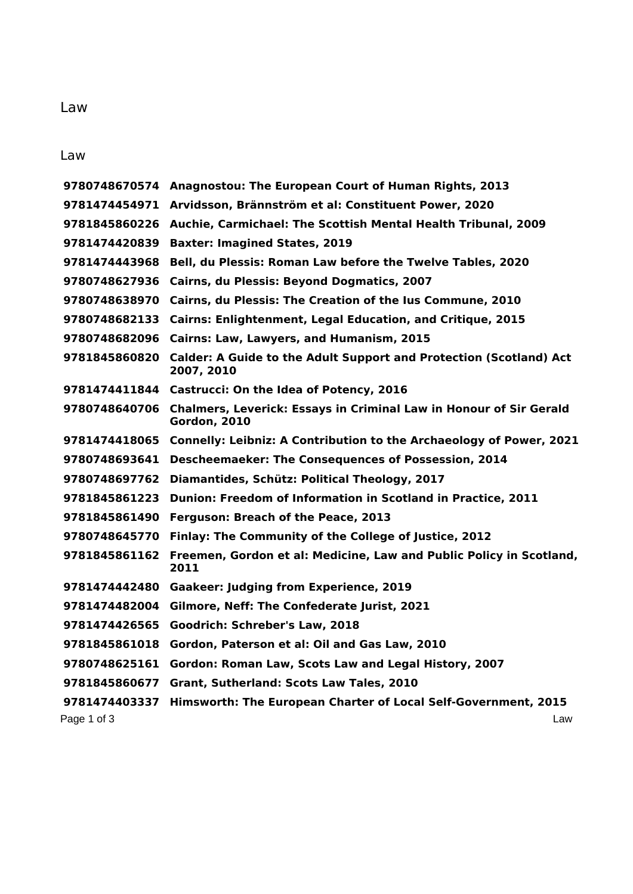## Law

|               | 9780748670574 Anagnostou: The European Court of Human Rights, 2013                                      |
|---------------|---------------------------------------------------------------------------------------------------------|
|               | 9781474454971 Arvidsson, Brännström et al: Constituent Power, 2020                                      |
|               | 9781845860226 Auchie, Carmichael: The Scottish Mental Health Tribunal, 2009                             |
| 9781474420839 | <b>Baxter: Imagined States, 2019</b>                                                                    |
| 9781474443968 | Bell, du Plessis: Roman Law before the Twelve Tables, 2020                                              |
|               | 9780748627936 Cairns, du Plessis: Beyond Dogmatics, 2007                                                |
|               | 9780748638970 Cairns, du Plessis: The Creation of the lus Commune, 2010                                 |
|               | 9780748682133 Cairns: Enlightenment, Legal Education, and Critique, 2015                                |
|               | 9780748682096 Cairns: Law, Lawyers, and Humanism, 2015                                                  |
|               | 9781845860820 Calder: A Guide to the Adult Support and Protection (Scotland) Act<br>2007, 2010          |
|               | 9781474411844 Castrucci: On the Idea of Potency, 2016                                                   |
|               | 9780748640706 Chalmers, Leverick: Essays in Criminal Law in Honour of Sir Gerald<br><b>Gordon, 2010</b> |
|               | 9781474418065 Connelly: Leibniz: A Contribution to the Archaeology of Power, 2021                       |
| 9780748693641 | <b>Descheemaeker: The Consequences of Possession, 2014</b>                                              |
| 9780748697762 | Diamantides, Schütz: Political Theology, 2017                                                           |
| 9781845861223 | Dunion: Freedom of Information in Scotland in Practice, 2011                                            |
| 9781845861490 | Ferguson: Breach of the Peace, 2013                                                                     |
| 9780748645770 | Finlay: The Community of the College of Justice, 2012                                                   |
| 9781845861162 | Freemen, Gordon et al: Medicine, Law and Public Policy in Scotland,<br>2011                             |
| 9781474442480 | <b>Gaakeer: Judging from Experience, 2019</b>                                                           |
|               | 9781474482004 Gilmore, Neff: The Confederate Jurist, 2021                                               |
| 9781474426565 | Goodrich: Schreber's Law, 2018                                                                          |
| 9781845861018 | Gordon, Paterson et al: Oil and Gas Law, 2010                                                           |
| 9780748625161 | Gordon: Roman Law, Scots Law and Legal History, 2007                                                    |
| 9781845860677 | Grant, Sutherland: Scots Law Tales, 2010                                                                |
| 9781474403337 | Himsworth: The European Charter of Local Self-Government, 2015                                          |
| Page 1 of 3   | Law                                                                                                     |

Law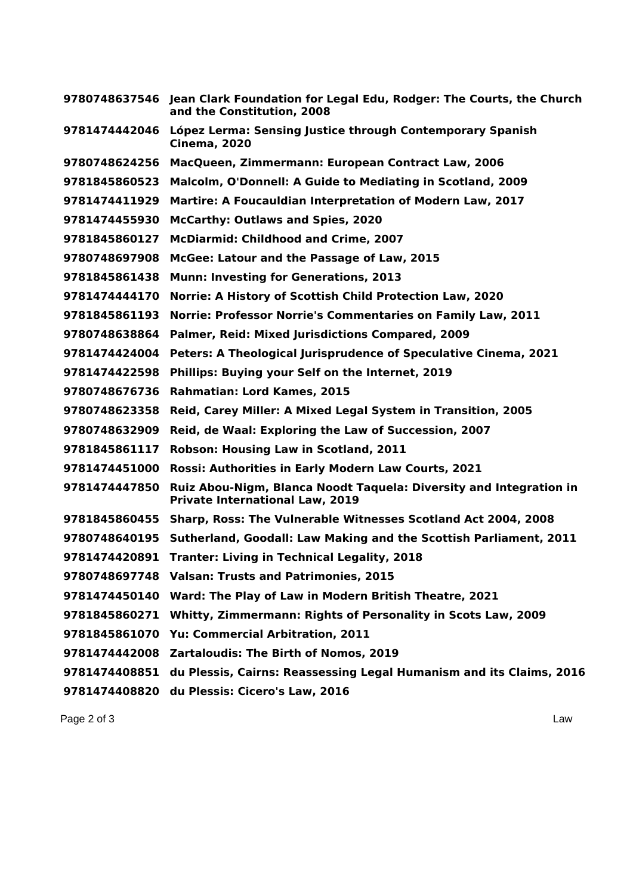| 9780748637546 | Jean Clark Foundation for Legal Edu, Rodger: The Courts, the Church<br>and the Constitution, 2008            |
|---------------|--------------------------------------------------------------------------------------------------------------|
| 9781474442046 | López Lerma: Sensing Justice through Contemporary Spanish<br><b>Cinema, 2020</b>                             |
| 9780748624256 | MacQueen, Zimmermann: European Contract Law, 2006                                                            |
| 9781845860523 | Malcolm, O'Donnell: A Guide to Mediating in Scotland, 2009                                                   |
| 9781474411929 | Martire: A Foucauldian Interpretation of Modern Law, 2017                                                    |
| 9781474455930 | <b>McCarthy: Outlaws and Spies, 2020</b>                                                                     |
| 9781845860127 | <b>McDiarmid: Childhood and Crime, 2007</b>                                                                  |
| 9780748697908 | McGee: Latour and the Passage of Law, 2015                                                                   |
| 9781845861438 | <b>Munn: Investing for Generations, 2013</b>                                                                 |
| 9781474444170 | Norrie: A History of Scottish Child Protection Law, 2020                                                     |
| 9781845861193 | Norrie: Professor Norrie's Commentaries on Family Law, 2011                                                  |
| 9780748638864 | Palmer, Reid: Mixed Jurisdictions Compared, 2009                                                             |
| 9781474424004 | Peters: A Theological Jurisprudence of Speculative Cinema, 2021                                              |
| 9781474422598 | Phillips: Buying your Self on the Internet, 2019                                                             |
| 9780748676736 | Rahmatian: Lord Kames, 2015                                                                                  |
| 9780748623358 | Reid, Carey Miller: A Mixed Legal System in Transition, 2005                                                 |
| 9780748632909 | Reid, de Waal: Exploring the Law of Succession, 2007                                                         |
| 9781845861117 | Robson: Housing Law in Scotland, 2011                                                                        |
| 9781474451000 | Rossi: Authorities in Early Modern Law Courts, 2021                                                          |
| 9781474447850 | Ruiz Abou-Nigm, Blanca Noodt Taquela: Diversity and Integration in<br><b>Private International Law, 2019</b> |
| 9781845860455 | Sharp, Ross: The Vulnerable Witnesses Scotland Act 2004, 2008                                                |
| 9780748640195 | Sutherland, Goodall: Law Making and the Scottish Parliament, 2011                                            |
| 9781474420891 | <b>Tranter: Living in Technical Legality, 2018</b>                                                           |
|               | 9780748697748 Valsan: Trusts and Patrimonies, 2015                                                           |
| 9781474450140 | Ward: The Play of Law in Modern British Theatre, 2021                                                        |
| 9781845860271 | Whitty, Zimmermann: Rights of Personality in Scots Law, 2009                                                 |
| 9781845861070 | Yu: Commercial Arbitration, 2011                                                                             |
| 9781474442008 | Zartaloudis: The Birth of Nomos, 2019                                                                        |
| 9781474408851 | du Plessis, Cairns: Reassessing Legal Humanism and its Claims, 2016                                          |
| 9781474408820 | du Plessis: Cicero's Law, 2016                                                                               |

Page 2 of 3 Law